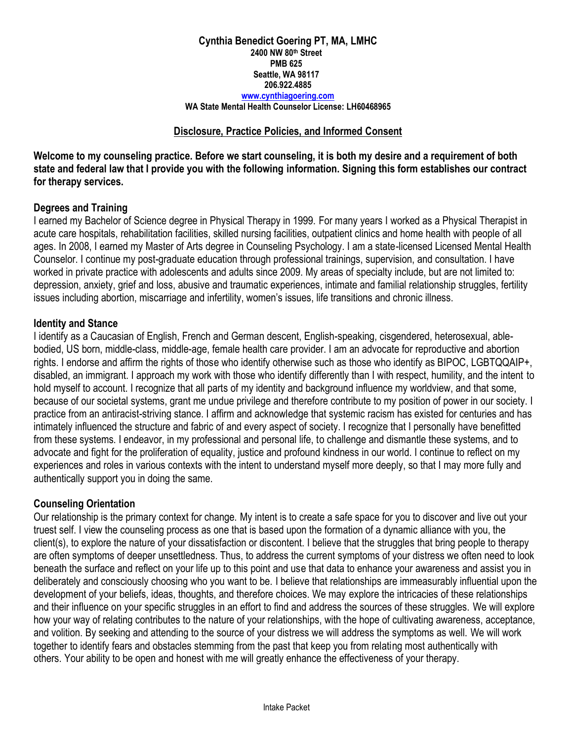## **Cynthia Benedict Goering PT, MA, LMHC 2400 NW 80th Street PMB 625 Seattle, WA 98117 206.922.4885 [www.cynthiagoering.com](http://www.cynthiagoering.com/)**

#### **WA State Mental Health Counselor License: LH60468965**

## **Disclosure, Practice Policies, and Informed Consent**

**Welcome to my counseling practice. Before we start counseling, it is both my desire and a requirement of both state and federal law that I provide you with the following information. Signing this form establishes our contract for therapy services.**

# **Degrees and Training**

I earned my Bachelor of Science degree in Physical Therapy in 1999. For many years I worked as a Physical Therapist in acute care hospitals, rehabilitation facilities, skilled nursing facilities, outpatient clinics and home health with people of all ages. In 2008, I earned my Master of Arts degree in Counseling Psychology. I am a state-licensed Licensed Mental Health Counselor. I continue my post-graduate education through professional trainings, supervision, and consultation. I have worked in private practice with adolescents and adults since 2009. My areas of specialty include, but are not limited to: depression, anxiety, grief and loss, abusive and traumatic experiences, intimate and familial relationship struggles, fertility issues including abortion, miscarriage and infertility, women's issues, life transitions and chronic illness.

# **Identity and Stance**

I identify as a Caucasian of English, French and German descent, English-speaking, cisgendered, heterosexual, ablebodied, US born, middle-class, middle-age, female health care provider. I am an advocate for reproductive and abortion rights. I endorse and affirm the rights of those who identify otherwise such as those who identify as BIPOC, LGBTQQAIP+, disabled, an immigrant. I approach my work with those who identify differently than I with respect, humility, and the intent to hold myself to account. I recognize that all parts of my identity and background influence my worldview, and that some, because of our societal systems, grant me undue privilege and therefore contribute to my position of power in our society. I practice from an antiracist-striving stance. I affirm and acknowledge that systemic racism has existed for centuries and has intimately influenced the structure and fabric of and every aspect of society. I recognize that I personally have benefitted from these systems. I endeavor, in my professional and personal life, to challenge and dismantle these systems, and to advocate and fight for the proliferation of equality, justice and profound kindness in our world. I continue to reflect on my experiences and roles in various contexts with the intent to understand myself more deeply, so that I may more fully and authentically support you in doing the same.

## **Counseling Orientation**

Our relationship is the primary context for change. My intent is to create a safe space for you to discover and live out your truest self. I view the counseling process as one that is based upon the formation of a dynamic alliance with you, the client(s), to explore the nature of your dissatisfaction or discontent. I believe that the struggles that bring people to therapy are often symptoms of deeper unsettledness. Thus, to address the current symptoms of your distress we often need to look beneath the surface and reflect on your life up to this point and use that data to enhance your awareness and assist you in deliberately and consciously choosing who you want to be. I believe that relationships are immeasurably influential upon the development of your beliefs, ideas, thoughts, and therefore choices. We may explore the intricacies of these relationships and their influence on your specific struggles in an effort to find and address the sources of these struggles. We will explore how your way of relating contributes to the nature of your relationships, with the hope of cultivating awareness, acceptance, and volition. By seeking and attending to the source of your distress we will address the symptoms as well. We will work together to identify fears and obstacles stemming from the past that keep you from relating most authentically with others. Your ability to be open and honest with me will greatly enhance the effectiveness of your therapy.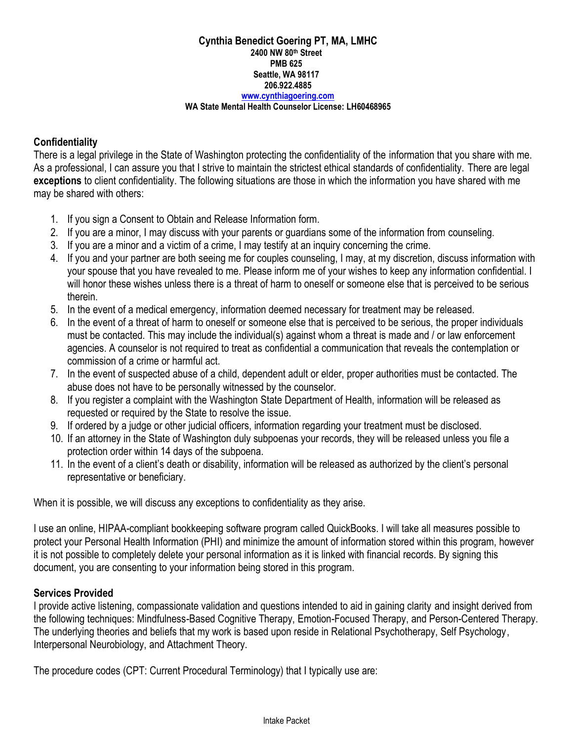## **Cynthia Benedict Goering PT, MA, LMHC 2400 NW 80th Street PMB 625 Seattle, WA 98117 206.922.4885 [www.cynthiagoering.com](http://www.cynthiagoering.com/)**

#### **WA State Mental Health Counselor License: LH60468965**

# **Confidentiality**

There is a legal privilege in the State of Washington protecting the confidentiality of the information that you share with me. As a professional, I can assure you that I strive to maintain the strictest ethical standards of confidentiality. There are legal **exceptions** to client confidentiality. The following situations are those in which the information you have shared with me may be shared with others:

- 1. If you sign a Consent to Obtain and Release Information form.
- 2. If you are a minor, I may discuss with your parents or guardians some of the information from counseling.
- 3. If you are a minor and a victim of a crime, I may testify at an inquiry concerning the crime.
- 4. If you and your partner are both seeing me for couples counseling, I may, at my discretion, discuss information with your spouse that you have revealed to me. Please inform me of your wishes to keep any information confidential. I will honor these wishes unless there is a threat of harm to oneself or someone else that is perceived to be serious therein.
- 5. In the event of a medical emergency, information deemed necessary for treatment may be released.
- 6. In the event of a threat of harm to oneself or someone else that is perceived to be serious, the proper individuals must be contacted. This may include the individual(s) against whom a threat is made and / or law enforcement agencies. A counselor is not required to treat as confidential a communication that reveals the contemplation or commission of a crime or harmful act.
- 7. In the event of suspected abuse of a child, dependent adult or elder, proper authorities must be contacted. The abuse does not have to be personally witnessed by the counselor.
- 8. If you register a complaint with the Washington State Department of Health, information will be released as requested or required by the State to resolve the issue.
- 9. If ordered by a judge or other judicial officers, information regarding your treatment must be disclosed.
- 10. If an attorney in the State of Washington duly subpoenas your records, they will be released unless you file a protection order within 14 days of the subpoena.
- 11. In the event of a client's death or disability, information will be released as authorized by the client's personal representative or beneficiary.

When it is possible, we will discuss any exceptions to confidentiality as they arise.

I use an online, HIPAA-compliant bookkeeping software program called QuickBooks. I will take all measures possible to protect your Personal Health Information (PHI) and minimize the amount of information stored within this program, however it is not possible to completely delete your personal information as it is linked with financial records. By signing this document, you are consenting to your information being stored in this program.

# **Services Provided**

I provide active listening, compassionate validation and questions intended to aid in gaining clarity and insight derived from the following techniques: Mindfulness-Based Cognitive Therapy, Emotion-Focused Therapy, and Person-Centered Therapy. The underlying theories and beliefs that my work is based upon reside in Relational Psychotherapy, Self Psychology, Interpersonal Neurobiology, and Attachment Theory.

The procedure codes (CPT: Current Procedural Terminology) that I typically use are: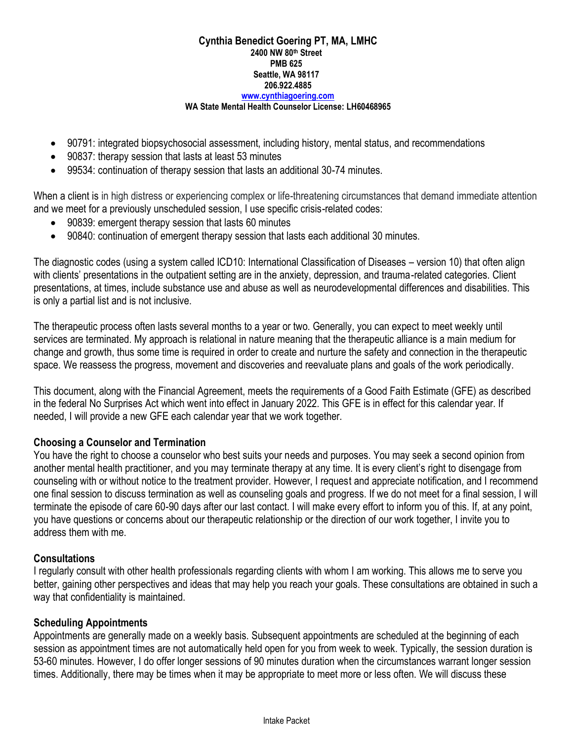### **Cynthia Benedict Goering PT, MA, LMHC 2400 NW 80th Street PMB 625 Seattle, WA 98117 206.922.4885 [www.cynthiagoering.com](http://www.cynthiagoering.com/)**

#### **WA State Mental Health Counselor License: LH60468965**

- 90791: integrated biopsychosocial assessment, including history, mental status, and recommendations
- 90837: therapy session that lasts at least 53 minutes
- 99534: continuation of therapy session that lasts an additional 30-74 minutes.

When a client is in high distress or experiencing complex or life-threatening circumstances that demand immediate attention and we meet for a previously unscheduled session, I use specific crisis-related codes:

- 90839: emergent therapy session that lasts 60 minutes
- 90840: continuation of emergent therapy session that lasts each additional 30 minutes.

The diagnostic codes (using a system called ICD10: International Classification of Diseases – version 10) that often align with clients' presentations in the outpatient setting are in the anxiety, depression, and trauma-related categories. Client presentations, at times, include substance use and abuse as well as neurodevelopmental differences and disabilities. This is only a partial list and is not inclusive.

The therapeutic process often lasts several months to a year or two. Generally, you can expect to meet weekly until services are terminated. My approach is relational in nature meaning that the therapeutic alliance is a main medium for change and growth, thus some time is required in order to create and nurture the safety and connection in the therapeutic space. We reassess the progress, movement and discoveries and reevaluate plans and goals of the work periodically.

This document, along with the Financial Agreement, meets the requirements of a Good Faith Estimate (GFE) as described in the federal No Surprises Act which went into effect in January 2022. This GFE is in effect for this calendar year. If needed, I will provide a new GFE each calendar year that we work together.

## **Choosing a Counselor and Termination**

You have the right to choose a counselor who best suits your needs and purposes. You may seek a second opinion from another mental health practitioner, and you may terminate therapy at any time. It is every client's right to disengage from counseling with or without notice to the treatment provider. However, I request and appreciate notification, and I recommend one final session to discuss termination as well as counseling goals and progress. If we do not meet for a final session, I will terminate the episode of care 60-90 days after our last contact. I will make every effort to inform you of this. If, at any point, you have questions or concerns about our therapeutic relationship or the direction of our work together, I invite you to address them with me.

## **Consultations**

I regularly consult with other health professionals regarding clients with whom I am working. This allows me to serve you better, gaining other perspectives and ideas that may help you reach your goals. These consultations are obtained in such a way that confidentiality is maintained.

## **Scheduling Appointments**

Appointments are generally made on a weekly basis. Subsequent appointments are scheduled at the beginning of each session as appointment times are not automatically held open for you from week to week. Typically, the session duration is 53-60 minutes. However, I do offer longer sessions of 90 minutes duration when the circumstances warrant longer session times. Additionally, there may be times when it may be appropriate to meet more or less often. We will discuss these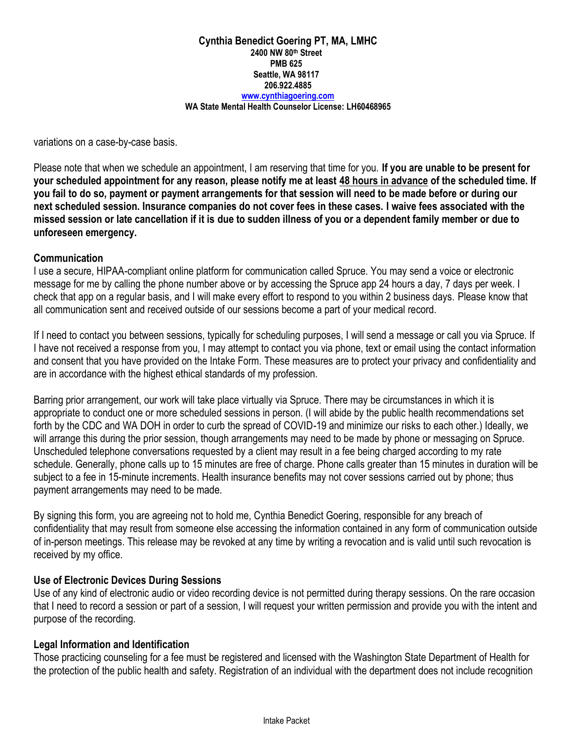variations on a case-by-case basis.

Please note that when we schedule an appointment, I am reserving that time for you. **If you are unable to be present for your scheduled appointment for any reason, please notify me at least 48 hours in advance of the scheduled time. If you fail to do so, payment or payment arrangements for that session will need to be made before or during our next scheduled session. Insurance companies do not cover fees in these cases. I waive fees associated with the missed session or late cancellation if it is due to sudden illness of you or a dependent family member or due to unforeseen emergency.**

## **Communication**

I use a secure, HIPAA-compliant online platform for communication called Spruce. You may send a voice or electronic message for me by calling the phone number above or by accessing the Spruce app 24 hours a day, 7 days per week. I check that app on a regular basis, and I will make every effort to respond to you within 2 business days. Please know that all communication sent and received outside of our sessions become a part of your medical record.

If I need to contact you between sessions, typically for scheduling purposes, I will send a message or call you via Spruce. If I have not received a response from you, I may attempt to contact you via phone, text or email using the contact information and consent that you have provided on the Intake Form. These measures are to protect your privacy and confidentiality and are in accordance with the highest ethical standards of my profession.

Barring prior arrangement, our work will take place virtually via Spruce. There may be circumstances in which it is appropriate to conduct one or more scheduled sessions in person. (I will abide by the public health recommendations set forth by the CDC and WA DOH in order to curb the spread of COVID-19 and minimize our risks to each other.) Ideally, we will arrange this during the prior session, though arrangements may need to be made by phone or messaging on Spruce. Unscheduled telephone conversations requested by a client may result in a fee being charged according to my rate schedule. Generally, phone calls up to 15 minutes are free of charge. Phone calls greater than 15 minutes in duration will be subject to a fee in 15-minute increments. Health insurance benefits may not cover sessions carried out by phone; thus payment arrangements may need to be made.

By signing this form, you are agreeing not to hold me, Cynthia Benedict Goering, responsible for any breach of confidentiality that may result from someone else accessing the information contained in any form of communication outside of in-person meetings. This release may be revoked at any time by writing a revocation and is valid until such revocation is received by my office.

## **Use of Electronic Devices During Sessions**

Use of any kind of electronic audio or video recording device is not permitted during therapy sessions. On the rare occasion that I need to record a session or part of a session, I will request your written permission and provide you with the intent and purpose of the recording.

## **Legal Information and Identification**

Those practicing counseling for a fee must be registered and licensed with the Washington State Department of Health for the protection of the public health and safety. Registration of an individual with the department does not include recognition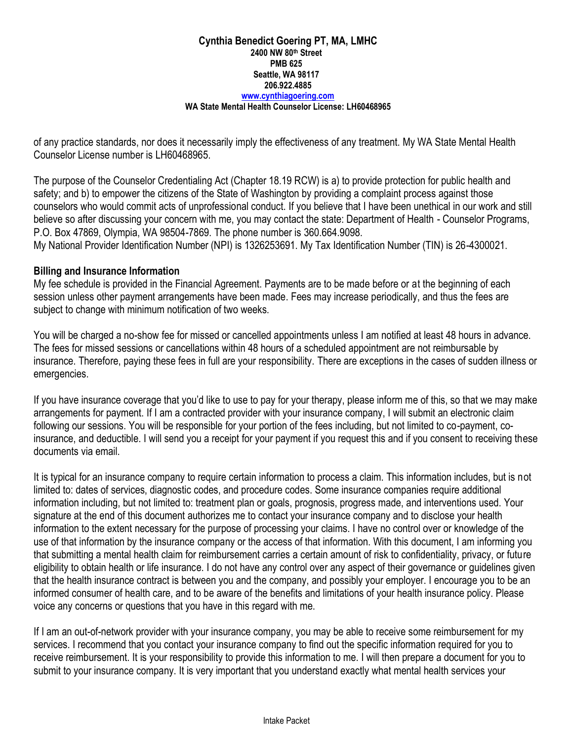of any practice standards, nor does it necessarily imply the effectiveness of any treatment. My WA State Mental Health Counselor License number is LH60468965.

The purpose of the Counselor Credentialing Act (Chapter 18.19 RCW) is a) to provide protection for public health and safety; and b) to empower the citizens of the State of Washington by providing a complaint process against those counselors who would commit acts of unprofessional conduct. If you believe that I have been unethical in our work and still believe so after discussing your concern with me, you may contact the state: Department of Health - Counselor Programs, P.O. Box 47869, Olympia, WA 98504-7869. The phone number is 360.664.9098.

My National Provider Identification Number (NPI) is 1326253691. My Tax Identification Number (TIN) is 26-4300021.

## **Billing and Insurance Information**

My fee schedule is provided in the Financial Agreement. Payments are to be made before or at the beginning of each session unless other payment arrangements have been made. Fees may increase periodically, and thus the fees are subject to change with minimum notification of two weeks.

You will be charged a no-show fee for missed or cancelled appointments unless I am notified at least 48 hours in advance. The fees for missed sessions or cancellations within 48 hours of a scheduled appointment are not reimbursable by insurance. Therefore, paying these fees in full are your responsibility. There are exceptions in the cases of sudden illness or emergencies.

If you have insurance coverage that you'd like to use to pay for your therapy, please inform me of this, so that we may make arrangements for payment. If I am a contracted provider with your insurance company, I will submit an electronic claim following our sessions. You will be responsible for your portion of the fees including, but not limited to co-payment, coinsurance, and deductible. I will send you a receipt for your payment if you request this and if you consent to receiving these documents via email.

It is typical for an insurance company to require certain information to process a claim. This information includes, but is not limited to: dates of services, diagnostic codes, and procedure codes. Some insurance companies require additional information including, but not limited to: treatment plan or goals, prognosis, progress made, and interventions used. Your signature at the end of this document authorizes me to contact your insurance company and to disclose your health information to the extent necessary for the purpose of processing your claims. I have no control over or knowledge of the use of that information by the insurance company or the access of that information. With this document, I am informing you that submitting a mental health claim for reimbursement carries a certain amount of risk to confidentiality, privacy, or future eligibility to obtain health or life insurance. I do not have any control over any aspect of their governance or guidelines given that the health insurance contract is between you and the company, and possibly your employer. I encourage you to be an informed consumer of health care, and to be aware of the benefits and limitations of your health insurance policy. Please voice any concerns or questions that you have in this regard with me.

If I am an out-of-network provider with your insurance company, you may be able to receive some reimbursement for my services. I recommend that you contact your insurance company to find out the specific information required for you to receive reimbursement. It is your responsibility to provide this information to me. I will then prepare a document for you to submit to your insurance company. It is very important that you understand exactly what mental health services your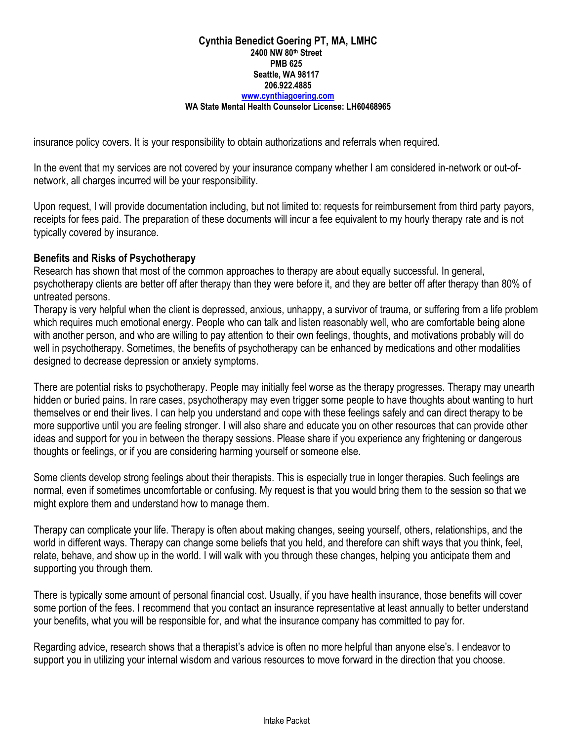insurance policy covers. It is your responsibility to obtain authorizations and referrals when required.

In the event that my services are not covered by your insurance company whether I am considered in-network or out-ofnetwork, all charges incurred will be your responsibility.

Upon request, I will provide documentation including, but not limited to: requests for reimbursement from third party payors, receipts for fees paid. The preparation of these documents will incur a fee equivalent to my hourly therapy rate and is not typically covered by insurance.

# **Benefits and Risks of Psychotherapy**

Research has shown that most of the common approaches to therapy are about equally successful. In general, psychotherapy clients are better off after therapy than they were before it, and they are better off after therapy than 80% of untreated persons.

Therapy is very helpful when the client is depressed, anxious, unhappy, a survivor of trauma, or suffering from a life problem which requires much emotional energy. People who can talk and listen reasonably well, who are comfortable being alone with another person, and who are willing to pay attention to their own feelings, thoughts, and motivations probably will do well in psychotherapy. Sometimes, the benefits of psychotherapy can be enhanced by medications and other modalities designed to decrease depression or anxiety symptoms.

There are potential risks to psychotherapy. People may initially feel worse as the therapy progresses. Therapy may unearth hidden or buried pains. In rare cases, psychotherapy may even trigger some people to have thoughts about wanting to hurt themselves or end their lives. I can help you understand and cope with these feelings safely and can direct therapy to be more supportive until you are feeling stronger. I will also share and educate you on other resources that can provide other ideas and support for you in between the therapy sessions. Please share if you experience any frightening or dangerous thoughts or feelings, or if you are considering harming yourself or someone else.

Some clients develop strong feelings about their therapists. This is especially true in longer therapies. Such feelings are normal, even if sometimes uncomfortable or confusing. My request is that you would bring them to the session so that we might explore them and understand how to manage them.

Therapy can complicate your life. Therapy is often about making changes, seeing yourself, others, relationships, and the world in different ways. Therapy can change some beliefs that you held, and therefore can shift ways that you think, feel, relate, behave, and show up in the world. I will walk with you through these changes, helping you anticipate them and supporting you through them.

There is typically some amount of personal financial cost. Usually, if you have health insurance, those benefits will cover some portion of the fees. I recommend that you contact an insurance representative at least annually to better understand your benefits, what you will be responsible for, and what the insurance company has committed to pay for.

Regarding advice, research shows that a therapist's advice is often no more helpful than anyone else's. I endeavor to support you in utilizing your internal wisdom and various resources to move forward in the direction that you choose.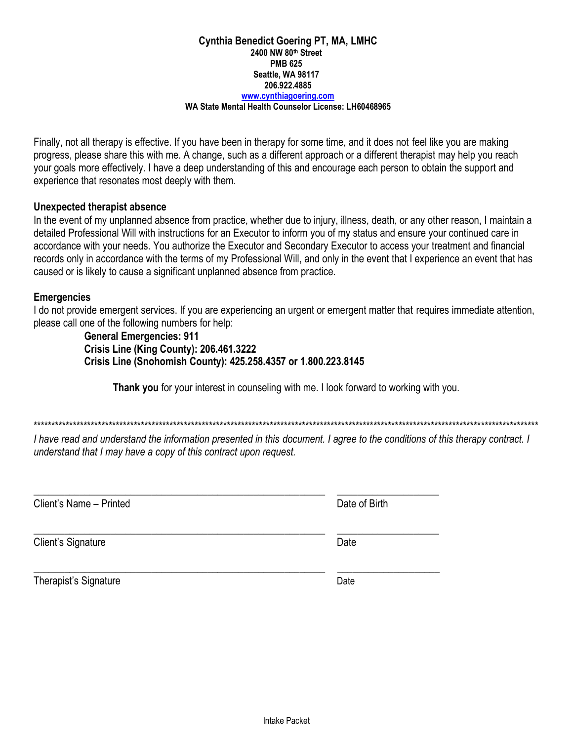#### **Cynthia Benedict Goering PT, MA, LMHC** 2400 NW 80th Street **PMB 625** Seattle, WA 98117 206.922.4885 www.cvnthiagoering.com

#### WA State Mental Health Counselor License: LH60468965

Finally, not all therapy is effective. If you have been in therapy for some time, and it does not feel like you are making progress, please share this with me. A change, such as a different approach or a different therapist may help you reach your goals more effectively. I have a deep understanding of this and encourage each person to obtain the support and experience that resonates most deeply with them.

#### Unexpected therapist absence

In the event of my unplanned absence from practice, whether due to injury, illness, death, or any other reason, I maintain a detailed Professional Will with instructions for an Executor to inform you of my status and ensure your continued care in accordance with your needs. You authorize the Executor and Secondary Executor to access your treatment and financial records only in accordance with the terms of my Professional Will, and only in the event that I experience an event that has caused or is likely to cause a significant unplanned absence from practice.

#### **Emergencies**

I do not provide emergent services. If you are experiencing an urgent or emergent matter that requires immediate attention, please call one of the following numbers for help:

> **General Emergencies: 911 Crisis Line (King County): 206.461.3222** Crisis Line (Snohomish County): 425.258.4357 or 1.800.223.8145

> > Thank you for your interest in counseling with me. I look forward to working with you.

I have read and understand the information presented in this document. I agree to the conditions of this therapy contract. I understand that I may have a copy of this contract upon request.

Client's Name - Printed

Date of Birth

Client's Signature

Therapist's Signature

Date

Date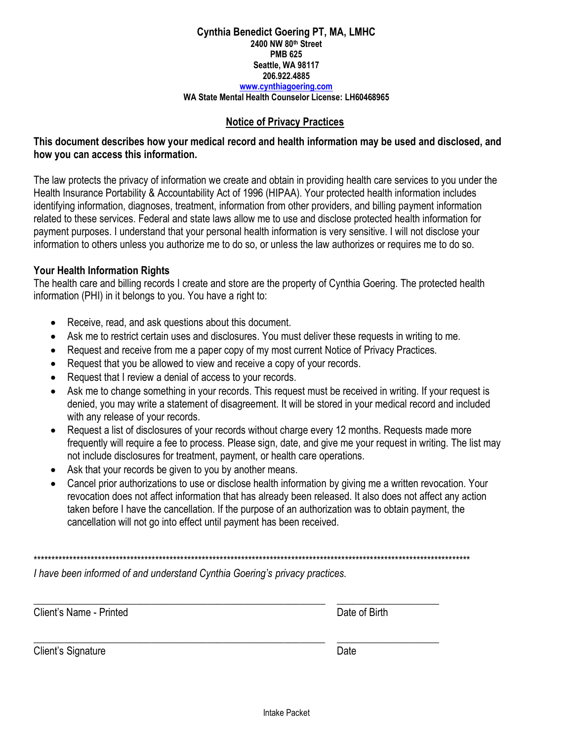#### **Notice of Privacy Practices**

# **This document describes how your medical record and health information may be used and disclosed, and how you can access this information.**

The law protects the privacy of information we create and obtain in providing health care services to you under the Health Insurance Portability & Accountability Act of 1996 (HIPAA). Your protected health information includes identifying information, diagnoses, treatment, information from other providers, and billing payment information related to these services. Federal and state laws allow me to use and disclose protected health information for payment purposes. I understand that your personal health information is very sensitive. I will not disclose your information to others unless you authorize me to do so, or unless the law authorizes or requires me to do so.

#### **Your Health Information Rights**

The health care and billing records I create and store are the property of Cynthia Goering. The protected health information (PHI) in it belongs to you. You have a right to:

- Receive, read, and ask questions about this document.
- Ask me to restrict certain uses and disclosures. You must deliver these requests in writing to me.
- Request and receive from me a paper copy of my most current Notice of Privacy Practices.
- Request that you be allowed to view and receive a copy of your records.
- Request that I review a denial of access to your records.
- Ask me to change something in your records. This request must be received in writing. If your request is denied, you may write a statement of disagreement. It will be stored in your medical record and included with any release of your records.
- Request a list of disclosures of your records without charge every 12 months. Requests made more frequently will require a fee to process. Please sign, date, and give me your request in writing. The list may not include disclosures for treatment, payment, or health care operations.
- Ask that your records be given to you by another means.
- Cancel prior authorizations to use or disclose health information by giving me a written revocation. Your revocation does not affect information that has already been released. It also does not affect any action taken before I have the cancellation. If the purpose of an authorization was to obtain payment, the cancellation will not go into effect until payment has been received.

\*\*\*\*\*\*\*\*\*\*\*\*\*\*\*\*\*\*\*\*\*\*\*\*\*\*\*\*\*\*\*\*\*\*\*\*\*\*\*\*\*\*\*\*\*\*\*\*\*\*\*\*\*\*\*\*\*\*\*\*\*\*\*\*\*\*\*\*\*\*\*\*\*\*\*\*\*\*\*\*\*\*\*\*\*\*\*\*\*\*\*\*\*\*\*\*\*\*\*\*\*\*\*\*\*\*\*\*\*\*\*\*\*\*\*\*\*\*\*\*\*\*

\_\_\_\_\_\_\_\_\_\_\_\_\_\_\_\_\_\_\_\_\_\_\_\_\_\_\_\_\_\_\_\_\_\_\_\_\_\_\_\_\_\_\_\_\_\_\_\_\_\_\_\_\_\_\_\_\_ \_\_\_\_\_\_\_\_\_\_\_\_\_\_\_\_\_\_\_\_

\_\_\_\_\_\_\_\_\_\_\_\_\_\_\_\_\_\_\_\_\_\_\_\_\_\_\_\_\_\_\_\_\_\_\_\_\_\_\_\_\_\_\_\_\_\_\_\_\_\_\_\_\_\_\_\_\_ \_\_\_\_\_\_\_\_\_\_\_\_\_\_\_\_\_\_\_\_

*I have been informed of and understand Cynthia Goering's privacy practices.* 

Client's Name - Printed **Date of Birth** 

Client's Signature Date Date Client's Signature Date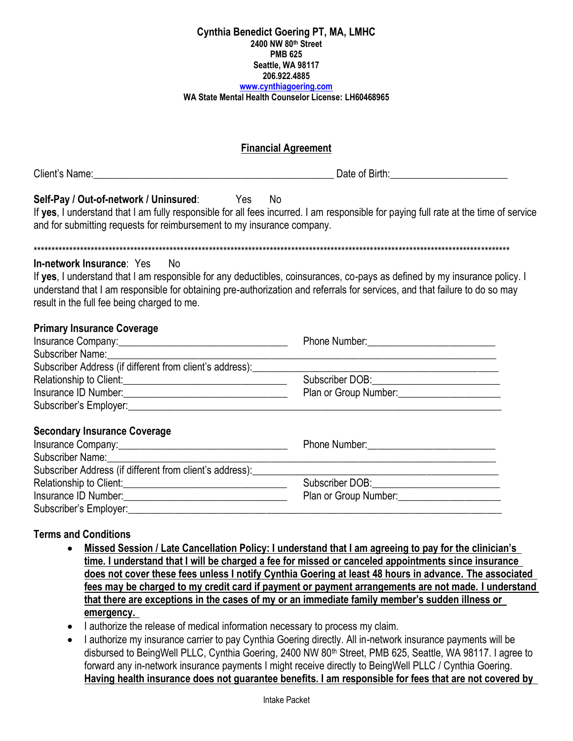| <b>Financial Agreement</b>                                                                                                                                                                                                                                                                                                                        |                                                                                                                                                                                                                                        |  |  |  |
|---------------------------------------------------------------------------------------------------------------------------------------------------------------------------------------------------------------------------------------------------------------------------------------------------------------------------------------------------|----------------------------------------------------------------------------------------------------------------------------------------------------------------------------------------------------------------------------------------|--|--|--|
| Date of Birth: National Property of Birth:                                                                                                                                                                                                                                                                                                        |                                                                                                                                                                                                                                        |  |  |  |
| Self-Pay / Out-of-network / Uninsured: Yes No<br>If yes, I understand that I am fully responsible for all fees incurred. I am responsible for paying full rate at the time of service<br>and for submitting requests for reimbursement to my insurance company.                                                                                   |                                                                                                                                                                                                                                        |  |  |  |
| In-network Insurance: Yes<br><b>No</b><br>If yes, I understand that I am responsible for any deductibles, coinsurances, co-pays as defined by my insurance policy. I<br>understand that I am responsible for obtaining pre-authorization and referrals for services, and that failure to do so may<br>result in the full fee being charged to me. |                                                                                                                                                                                                                                        |  |  |  |
| <b>Primary Insurance Coverage</b><br>Subscriber Name: Campaign Contract Contract Contract Contract Contract Contract Contract Contract Contract Contract Contract Contract Contract Contract Contract Contract Contract Contract Contract Contract Contract Contrac                                                                               | <u> 1989 - Johann Barbara, marka a shekara tsa 1989 - An tsa 1989 - An tsa 1989 - An tsa 1989 - An tsa 1989 - An</u>                                                                                                                   |  |  |  |
| Subscriber Address (if different from client's address):                                                                                                                                                                                                                                                                                          | <u> 1980 - Johann Barn, mars eta biztanleria (h. 1980).</u>                                                                                                                                                                            |  |  |  |
|                                                                                                                                                                                                                                                                                                                                                   | Subscriber DOB:_______________________________                                                                                                                                                                                         |  |  |  |
|                                                                                                                                                                                                                                                                                                                                                   |                                                                                                                                                                                                                                        |  |  |  |
| <b>Secondary Insurance Coverage</b><br>Subscriber Name:                                                                                                                                                                                                                                                                                           |                                                                                                                                                                                                                                        |  |  |  |
| Subscriber Address (if different from client's address): __________                                                                                                                                                                                                                                                                               | <u> 1989 - Johann Stoff, amerikansk politiker (d. 1989)</u><br><u> 1989 - Johann Barn, mars eta bainar eta industrial eta erromana eta erromana eta erromana eta erromana eta e</u>                                                    |  |  |  |
|                                                                                                                                                                                                                                                                                                                                                   | Subscriber DOB: ____________________________                                                                                                                                                                                           |  |  |  |
|                                                                                                                                                                                                                                                                                                                                                   | Plan or Group Number:<br><u> Letting and the summanning of the summanning of the summanning of the summanning of the summanning of the summanning of the summanning of the summanning of the summanning of the summanning of the s</u> |  |  |  |
|                                                                                                                                                                                                                                                                                                                                                   |                                                                                                                                                                                                                                        |  |  |  |

# **Terms and Conditions**

- Missed Session / Late Cancellation Policy: I understand that I am agreeing to pay for the clinician's  $\bullet$ time. I understand that I will be charged a fee for missed or canceled appointments since insurance does not cover these fees unless I notify Cynthia Goering at least 48 hours in advance. The associated fees may be charged to my credit card if payment or payment arrangements are not made. I understand that there are exceptions in the cases of my or an immediate family member's sudden illness or emergency.
- I authorize the release of medical information necessary to process my claim.
- I authorize my insurance carrier to pay Cynthia Goering directly. All in-network insurance payments will be disbursed to BeingWell PLLC, Cynthia Goering, 2400 NW 80<sup>th</sup> Street, PMB 625, Seattle, WA 98117. I agree to forward any in-network insurance payments I might receive directly to BeingWell PLLC / Cynthia Goering. Having health insurance does not guarantee benefits. I am responsible for fees that are not covered by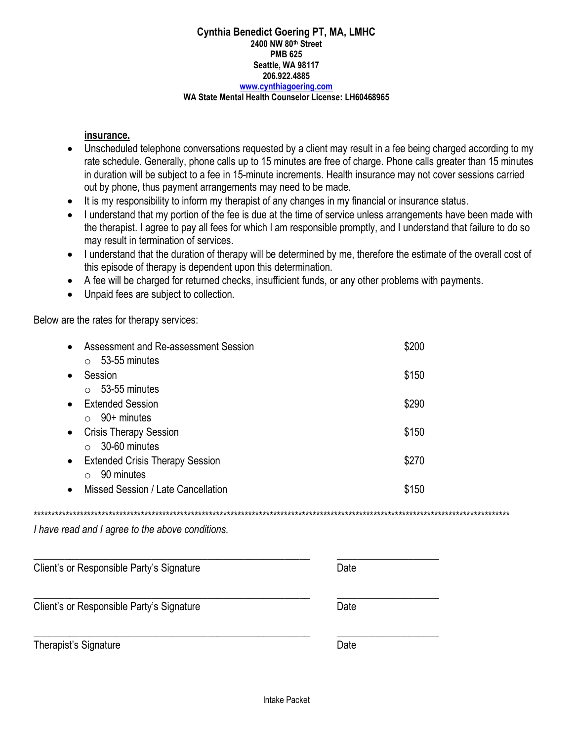### insurance.

- Unscheduled telephone conversations requested by a client may result in a fee being charged according to my rate schedule. Generally, phone calls up to 15 minutes are free of charge. Phone calls greater than 15 minutes in duration will be subject to a fee in 15-minute increments. Health insurance may not cover sessions carried out by phone, thus payment arrangements may need to be made.
- It is my responsibility to inform my therapist of any changes in my financial or insurance status.
- I understand that my portion of the fee is due at the time of service unless arrangements have been made with  $\bullet$ the therapist. I agree to pay all fees for which I am responsible promptly, and I understand that failure to do so may result in termination of services.
- I understand that the duration of therapy will be determined by me, therefore the estimate of the overall cost of this episode of therapy is dependent upon this determination.

- A fee will be charged for returned checks, insufficient funds, or any other problems with payments.
- Unpaid fees are subject to collection.

Below are the rates for therapy services:

| Assessment and Re-assessment Session                | \$200 |  |
|-----------------------------------------------------|-------|--|
| 53-55 minutes                                       |       |  |
| Session                                             | \$150 |  |
| 53-55 minutes<br>$\bigcap$                          |       |  |
| <b>Extended Session</b><br>$\bullet$                | \$290 |  |
| $90+$ minutes                                       |       |  |
| <b>Crisis Therapy Session</b><br>$\bullet$          | \$150 |  |
| 30-60 minutes                                       |       |  |
| <b>Extended Crisis Therapy Session</b><br>$\bullet$ | \$270 |  |
| 90 minutes                                          |       |  |
| Missed Session / Late Cancellation                  | \$150 |  |

I have read and I agree to the above conditions.

| Client's or Responsible Party's Signature | Date |  |  |
|-------------------------------------------|------|--|--|
| Client's or Responsible Party's Signature | Date |  |  |
| Therapist's Signature                     | Date |  |  |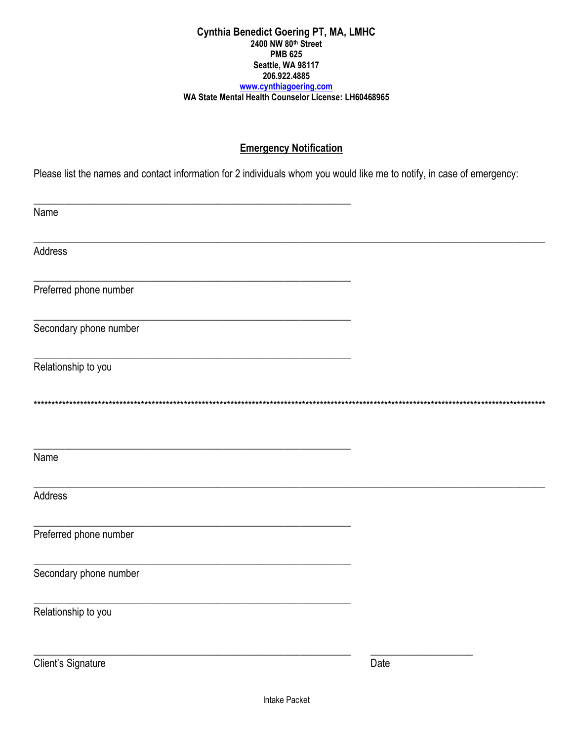# **Emergency Notification**

Please list the names and contact information for 2 individuals whom you would like me to notify, in case of emergency:

| Name                   |      |
|------------------------|------|
| Address                |      |
| Preferred phone number |      |
| Secondary phone number |      |
| Relationship to you    |      |
|                        |      |
| Name                   |      |
| Address                |      |
| Preferred phone number |      |
| Secondary phone number |      |
| Relationship to you    |      |
| Client's Signature     | Date |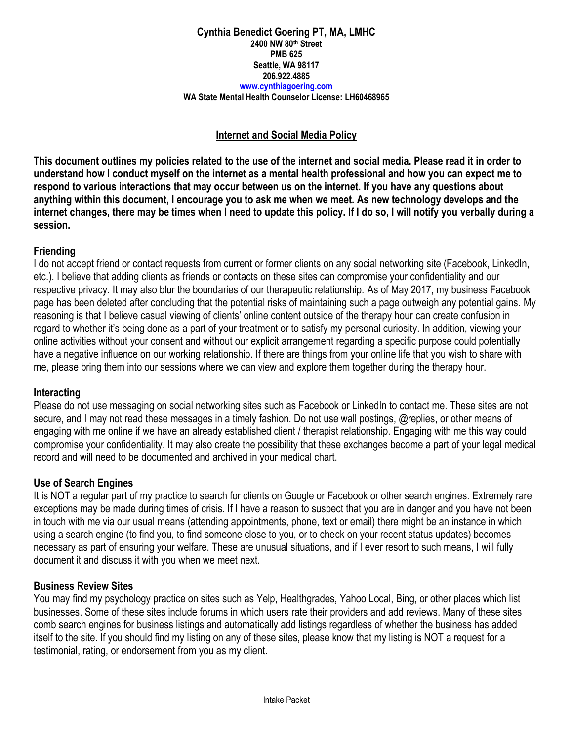# **Internet and Social Media Policy**

**This document outlines my policies related to the use of the internet and social media. Please read it in order to understand how I conduct myself on the internet as a mental health professional and how you can expect me to respond to various interactions that may occur between us on the internet. If you have any questions about anything within this document, I encourage you to ask me when we meet. As new technology develops and the internet changes, there may be times when I need to update this policy. If I do so, I will notify you verbally during a session.** 

# **Friending**

I do not accept friend or contact requests from current or former clients on any social networking site (Facebook, LinkedIn, etc.). I believe that adding clients as friends or contacts on these sites can compromise your confidentiality and our respective privacy. It may also blur the boundaries of our therapeutic relationship. As of May 2017, my business Facebook page has been deleted after concluding that the potential risks of maintaining such a page outweigh any potential gains. My reasoning is that I believe casual viewing of clients' online content outside of the therapy hour can create confusion in regard to whether it's being done as a part of your treatment or to satisfy my personal curiosity. In addition, viewing your online activities without your consent and without our explicit arrangement regarding a specific purpose could potentially have a negative influence on our working relationship. If there are things from your online life that you wish to share with me, please bring them into our sessions where we can view and explore them together during the therapy hour.

# **Interacting**

Please do not use messaging on social networking sites such as Facebook or LinkedIn to contact me. These sites are not secure, and I may not read these messages in a timely fashion. Do not use wall postings, @replies, or other means of engaging with me online if we have an already established client / therapist relationship. Engaging with me this way could compromise your confidentiality. It may also create the possibility that these exchanges become a part of your legal medical record and will need to be documented and archived in your medical chart.

# **Use of Search Engines**

It is NOT a regular part of my practice to search for clients on Google or Facebook or other search engines. Extremely rare exceptions may be made during times of crisis. If I have a reason to suspect that you are in danger and you have not been in touch with me via our usual means (attending appointments, phone, text or email) there might be an instance in which using a search engine (to find you, to find someone close to you, or to check on your recent status updates) becomes necessary as part of ensuring your welfare. These are unusual situations, and if I ever resort to such means, I will fully document it and discuss it with you when we meet next.

## **Business Review Sites**

You may find my psychology practice on sites such as Yelp, Healthgrades, Yahoo Local, Bing, or other places which list businesses. Some of these sites include forums in which users rate their providers and add reviews. Many of these sites comb search engines for business listings and automatically add listings regardless of whether the business has added itself to the site. If you should find my listing on any of these sites, please know that my listing is NOT a request for a testimonial, rating, or endorsement from you as my client.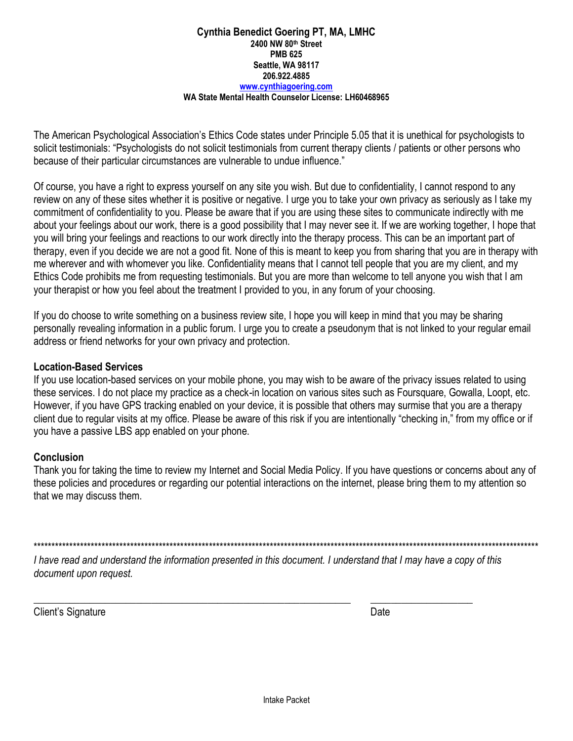The American Psychological Association's Ethics Code states under Principle 5.05 that it is unethical for psychologists to solicit testimonials: "Psychologists do not solicit testimonials from current therapy clients / patients or other persons who because of their particular circumstances are vulnerable to undue influence."

Of course, you have a right to express yourself on any site you wish. But due to confidentiality, I cannot respond to any review on any of these sites whether it is positive or negative. I urge you to take your own privacy as seriously as I take my commitment of confidentiality to you. Please be aware that if you are using these sites to communicate indirectly with me about your feelings about our work, there is a good possibility that I may never see it. If we are working together, I hope that you will bring your feelings and reactions to our work directly into the therapy process. This can be an important part of therapy, even if you decide we are not a good fit. None of this is meant to keep you from sharing that you are in therapy with me wherever and with whomever you like. Confidentiality means that I cannot tell people that you are my client, and my Ethics Code prohibits me from requesting testimonials. But you are more than welcome to tell anyone you wish that I am your therapist or how you feel about the treatment I provided to you, in any forum of your choosing.

If you do choose to write something on a business review site, I hope you will keep in mind that you may be sharing personally revealing information in a public forum. I urge you to create a pseudonym that is not linked to your regular email address or friend networks for your own privacy and protection.

# **Location-Based Services**

If you use location-based services on your mobile phone, you may wish to be aware of the privacy issues related to using these services. I do not place my practice as a check-in location on various sites such as Foursquare, Gowalla, Loopt, etc. However, if you have GPS tracking enabled on your device, it is possible that others may surmise that you are a therapy client due to regular visits at my office. Please be aware of this risk if you are intentionally "checking in," from my office or if you have a passive LBS app enabled on your phone.

# **Conclusion**

Thank you for taking the time to review my Internet and Social Media Policy. If you have questions or concerns about any of these policies and procedures or regarding our potential interactions on the internet, please bring them to my attention so that we may discuss them.

\*\*\*\*\*\*\*\*\*\*\*\*\*\*\*\*\*\*\*\*\*\*\*\*\*\*\*\*\*\*\*\*\*\*\*\*\*\*\*\*\*\*\*\*\*\*\*\*\*\*\*\*\*\*\*\*\*\*\*\*\*\*\*\*\*\*\*\*\*\*\*\*\*\*\*\*\*\*\*\*\*\*\*\*\*\*\*\*\*\*\*\*\*\*\*\*\*\*\*\*\*\*\*\*\*\*\*\*\*\*\*\*\*\*\*\*\*\*\*\*\*\*\*\*\*\*\*\*\*\*\*\*\*\*\*\*\*\*\*\*\*

*I have read and understand the information presented in this document. I understand that I may have a copy of this document upon request.*

\_\_\_\_\_\_\_\_\_\_\_\_\_\_\_\_\_\_\_\_\_\_\_\_\_\_\_\_\_\_\_\_\_\_\_\_\_\_\_\_\_\_\_\_\_\_\_\_\_\_\_\_\_\_\_\_\_\_\_\_\_\_ \_\_\_\_\_\_\_\_\_\_\_\_\_\_\_\_\_\_\_\_

Client's Signature Date Date Client's Signature Date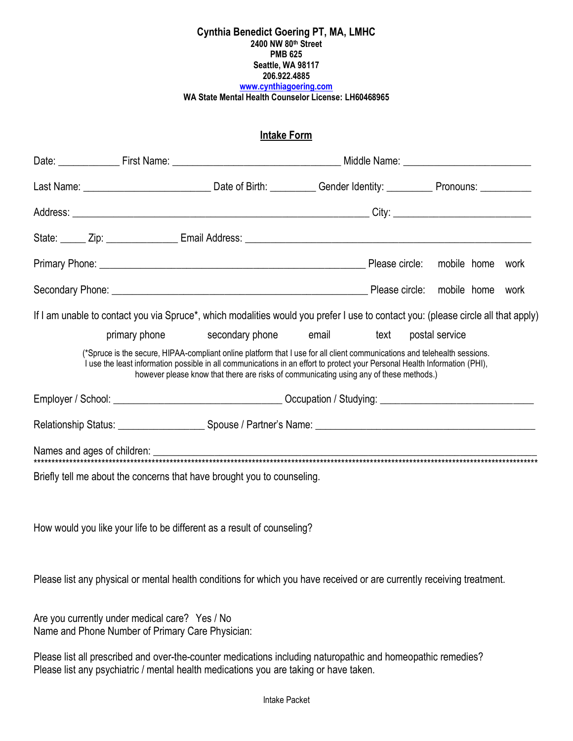### **Intake Form**

|  | If I am unable to contact you via Spruce*, which modalities would you prefer I use to contact you: (please circle all that apply)                                                                                                                                                                                                                 |  |  |                |  |
|--|---------------------------------------------------------------------------------------------------------------------------------------------------------------------------------------------------------------------------------------------------------------------------------------------------------------------------------------------------|--|--|----------------|--|
|  | primary phone secondary phone email text                                                                                                                                                                                                                                                                                                          |  |  | postal service |  |
|  | (*Spruce is the secure, HIPAA-compliant online platform that I use for all client communications and telehealth sessions.<br>I use the least information possible in all communications in an effort to protect your Personal Health Information (PHI),<br>however please know that there are risks of communicating using any of these methods.) |  |  |                |  |
|  |                                                                                                                                                                                                                                                                                                                                                   |  |  |                |  |
|  |                                                                                                                                                                                                                                                                                                                                                   |  |  |                |  |
|  |                                                                                                                                                                                                                                                                                                                                                   |  |  |                |  |
|  | Briefly tell me about the concerns that have brought you to counseling.                                                                                                                                                                                                                                                                           |  |  |                |  |

How would you like your life to be different as a result of counseling?

Please list any physical or mental health conditions for which you have received or are currently receiving treatment.

Are you currently under medical care? Yes / No Name and Phone Number of Primary Care Physician:

Please list all prescribed and over-the-counter medications including naturopathic and homeopathic remedies? Please list any psychiatric / mental health medications you are taking or have taken.